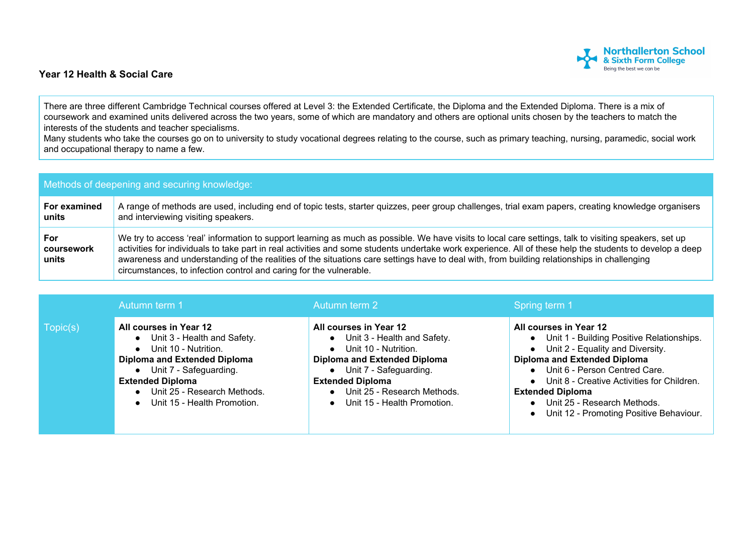## **Year 12 Health & Social Care**



There are three different Cambridge Technical courses offered at Level 3: the Extended Certificate, the Diploma and the Extended Diploma. There is a mix of coursework and examined units delivered across the two years, some of which are mandatory and others are optional units chosen by the teachers to match the interests of the students and teacher specialisms.

Many students who take the courses go on to university to study vocational degrees relating to the course, such as primary teaching, nursing, paramedic, social work and occupational therapy to name a few.

| Methods of deepening and securing knowledge: |                                                                                                                                                                                                                                                                                                                                                                                                                                                                                                                                       |  |  |  |
|----------------------------------------------|---------------------------------------------------------------------------------------------------------------------------------------------------------------------------------------------------------------------------------------------------------------------------------------------------------------------------------------------------------------------------------------------------------------------------------------------------------------------------------------------------------------------------------------|--|--|--|
| For examined<br>units                        | A range of methods are used, including end of topic tests, starter quizzes, peer group challenges, trial exam papers, creating knowledge organisers<br>and interviewing visiting speakers.                                                                                                                                                                                                                                                                                                                                            |  |  |  |
| For<br>coursework<br>units                   | We try to access 'real' information to support learning as much as possible. We have visits to local care settings, talk to visiting speakers, set up<br>activities for individuals to take part in real activities and some students undertake work experience. All of these help the students to develop a deep<br>awareness and understanding of the realities of the situations care settings have to deal with, from building relationships in challenging<br>circumstances, to infection control and caring for the vulnerable. |  |  |  |

|          | Autumn term 1                                                                                                                                                                                                                        | Autumn term 2                                                                                                                                                                                                                                     | Spring term 1                                                                                                                                                                                                                                                                                                                                   |
|----------|--------------------------------------------------------------------------------------------------------------------------------------------------------------------------------------------------------------------------------------|---------------------------------------------------------------------------------------------------------------------------------------------------------------------------------------------------------------------------------------------------|-------------------------------------------------------------------------------------------------------------------------------------------------------------------------------------------------------------------------------------------------------------------------------------------------------------------------------------------------|
| Topic(s) | All courses in Year 12<br>Unit 3 - Health and Safety.<br>• Unit 10 - Nutrition.<br>Diploma and Extended Diploma<br>• Unit 7 - Safeguarding.<br><b>Extended Diploma</b><br>Unit 25 - Research Methods.<br>Unit 15 - Health Promotion. | All courses in Year 12<br>• Unit 3 - Health and Safety.<br>• Unit 10 - Nutrition.<br><b>Diploma and Extended Diploma</b><br>• Unit 7 - Safeguarding.<br><b>Extended Diploma</b><br>• Unit 25 - Research Methods.<br>• Unit 15 - Health Promotion. | All courses in Year 12<br>• Unit 1 - Building Positive Relationships.<br>$\bullet$ Unit 2 - Equality and Diversity.<br>Diploma and Extended Diploma<br>• Unit 6 - Person Centred Care.<br>• Unit 8 - Creative Activities for Children.<br><b>Extended Diploma</b><br>• Unit 25 - Research Methods.<br>• Unit 12 - Promoting Positive Behaviour. |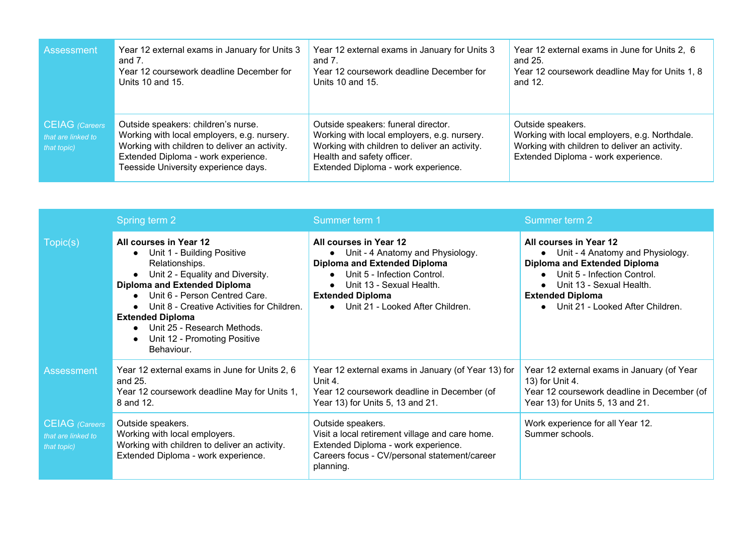| Assessment                                          | Year 12 external exams in January for Units 3                                                                                                                                                                      | Year 12 external exams in January for Units 3                                                                                                                                                            | Year 12 external exams in June for Units 2, 6                                                                                                              |
|-----------------------------------------------------|--------------------------------------------------------------------------------------------------------------------------------------------------------------------------------------------------------------------|----------------------------------------------------------------------------------------------------------------------------------------------------------------------------------------------------------|------------------------------------------------------------------------------------------------------------------------------------------------------------|
|                                                     | and 7.                                                                                                                                                                                                             | and $71$                                                                                                                                                                                                 | and 25.                                                                                                                                                    |
|                                                     | Year 12 coursework deadline December for                                                                                                                                                                           | Year 12 coursework deadline December for                                                                                                                                                                 | Year 12 coursework deadline May for Units 1, 8                                                                                                             |
|                                                     | Units 10 and 15.                                                                                                                                                                                                   | Units 10 and 15.                                                                                                                                                                                         | and 12.                                                                                                                                                    |
| CEIAG (Careers<br>that are linked to<br>that topic) | Outside speakers: children's nurse.<br>Working with local employers, e.g. nursery.<br>Working with children to deliver an activity.<br>Extended Diploma - work experience.<br>Teesside University experience days. | Outside speakers: funeral director.<br>Working with local employers, e.g. nursery.<br>Working with children to deliver an activity.<br>Health and safety officer.<br>Extended Diploma - work experience. | Outside speakers.<br>Working with local employers, e.g. Northdale.<br>Working with children to deliver an activity.<br>Extended Diploma - work experience. |

|                                                            | Spring term 2                                                                                                                                                                                                                                                                                                                            | Summer term 1                                                                                                                                                                                                                   | Summer term 2                                                                                                                                                                                                                   |
|------------------------------------------------------------|------------------------------------------------------------------------------------------------------------------------------------------------------------------------------------------------------------------------------------------------------------------------------------------------------------------------------------------|---------------------------------------------------------------------------------------------------------------------------------------------------------------------------------------------------------------------------------|---------------------------------------------------------------------------------------------------------------------------------------------------------------------------------------------------------------------------------|
| Topic(s)                                                   | All courses in Year 12<br>Unit 1 - Building Positive<br>Relationships.<br>Unit 2 - Equality and Diversity.<br><b>Diploma and Extended Diploma</b><br>Unit 6 - Person Centred Care.<br>Unit 8 - Creative Activities for Children.<br><b>Extended Diploma</b><br>Unit 25 - Research Methods.<br>Unit 12 - Promoting Positive<br>Behaviour. | All courses in Year 12<br>• Unit - 4 Anatomy and Physiology.<br><b>Diploma and Extended Diploma</b><br>Unit 5 - Infection Control.<br>Unit 13 - Sexual Health.<br><b>Extended Diploma</b><br>• Unit 21 - Looked After Children. | All courses in Year 12<br>• Unit - 4 Anatomy and Physiology.<br><b>Diploma and Extended Diploma</b><br>Unit 5 - Infection Control.<br>Unit 13 - Sexual Health.<br><b>Extended Diploma</b><br>• Unit 21 - Looked After Children. |
| <b>Assessment</b>                                          | Year 12 external exams in June for Units 2, 6<br>and 25.<br>Year 12 coursework deadline May for Units 1,<br>8 and 12.                                                                                                                                                                                                                    | Year 12 external exams in January (of Year 13) for<br>Unit 4.<br>Year 12 coursework deadline in December (of<br>Year 13) for Units 5, 13 and 21.                                                                                | Year 12 external exams in January (of Year<br>13) for Unit 4.<br>Year 12 coursework deadline in December (of<br>Year 13) for Units 5, 13 and 21.                                                                                |
| <b>CEIAG</b> (Careers<br>that are linked to<br>that topic) | Outside speakers.<br>Working with local employers.<br>Working with children to deliver an activity.<br>Extended Diploma - work experience.                                                                                                                                                                                               | Outside speakers.<br>Visit a local retirement village and care home.<br>Extended Diploma - work experience.<br>Careers focus - CV/personal statement/career<br>planning.                                                        | Work experience for all Year 12.<br>Summer schools.                                                                                                                                                                             |